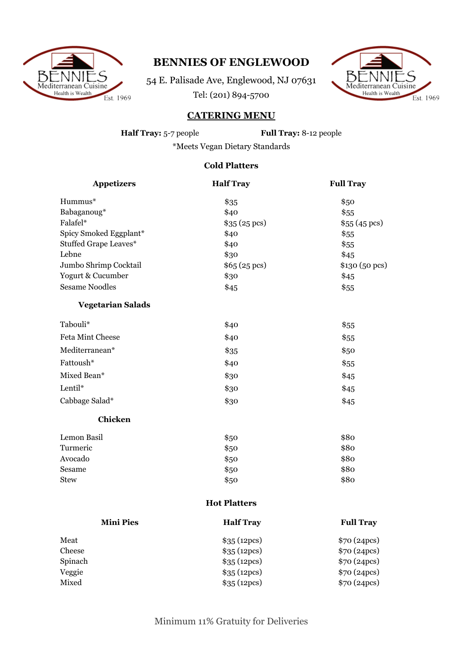

## **BENNIES OF ENGLEWOOD**

54 E. Palisade Ave, Englewood, NJ 07631 Tel: (201) 894-5700



## **CATERING MENU**

**Half Tray:** 5-7 people **Full Tray:** 8-12 people

\*Meets Vegan Dietary Standards

## **Cold Platters**

| <b>Appetizers</b>        | <b>Half Tray</b>    | <b>Full Tray</b> |
|--------------------------|---------------------|------------------|
| Hummus*                  | \$35                | \$50             |
| Babaganoug*              | \$40                | \$55             |
| Falafel*                 | \$35(25)            | \$55(45)         |
| Spicy Smoked Eggplant*   | \$40                | \$55             |
| Stuffed Grape Leaves*    | \$40                | \$55             |
| Lebne                    | \$30                | \$45             |
| Jumbo Shrimp Cocktail    | \$65(25)            | \$130 (50 pcs)   |
| Yogurt & Cucumber        | \$30                | \$45             |
| <b>Sesame Noodles</b>    | \$45                | \$55             |
| <b>Vegetarian Salads</b> |                     |                  |
| Tabouli*                 | \$40                | \$55             |
| Feta Mint Cheese         | \$40                | \$55             |
| Mediterranean*           | \$35                | \$50             |
| Fattoush*                | \$40                | \$55             |
| Mixed Bean*              | \$30                | \$45             |
| Lentil*                  | \$30                | \$45             |
| Cabbage Salad*           | \$30                | \$45             |
| <b>Chicken</b>           |                     |                  |
| Lemon Basil              | \$50                | \$80             |
| Turmeric                 | \$50                | \$80             |
| Avocado                  | \$50                | \$80             |
| Sesame                   | \$50                | \$80             |
| <b>Stew</b>              | \$50                | \$80             |
|                          | <b>Hot Platters</b> |                  |
| <b>Mini Pies</b>         | <b>Half Tray</b>    | <b>Full Tray</b> |
| Meat                     | \$35 (12pcs)        | \$70 (24pcs)     |
| Cheese                   | \$35 (12pcs)        | \$70 (24pcs)     |
| Spinach                  | \$35 (12pcs)        | \$70 (24pcs)     |
| Veggie                   | \$35 (12pcs)        | \$70 (24pcs)     |

Mixed \$35 (12pcs) \$70 (24pcs)